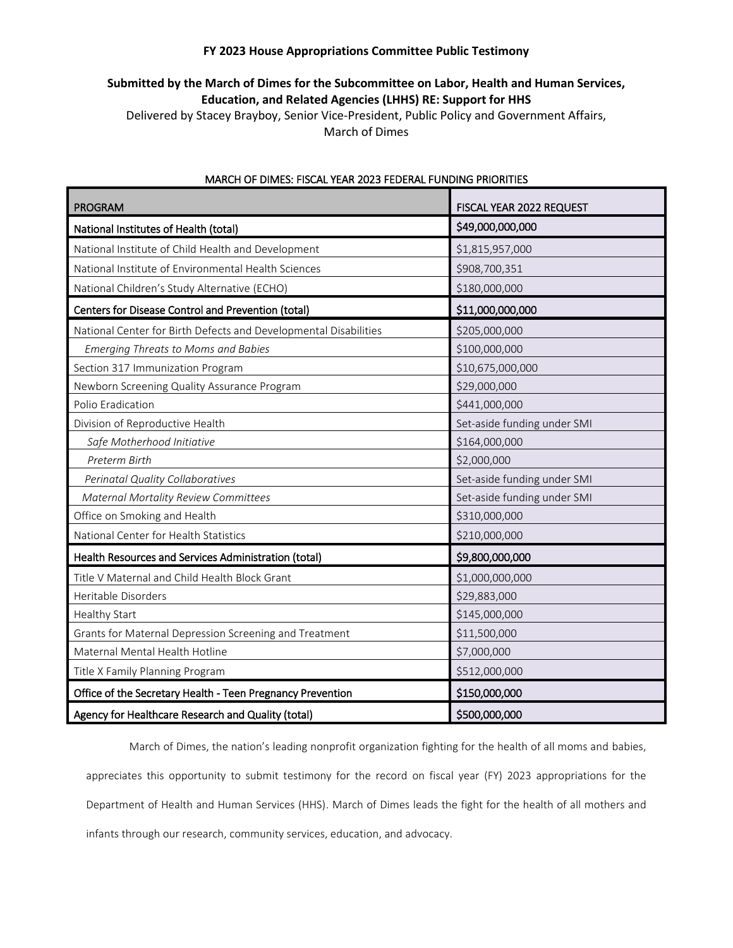## **FY 2023 House Appropriations Committee Public Testimony**

## **Submitted by the March of Dimes for the Subcommittee on Labor, Health and Human Services, Education, and Related Agencies (LHHS) RE: Support for HHS**

Delivered by Stacey Brayboy, Senior Vice-President, Public Policy and Government Affairs, March of Dimes

| <b>PROGRAM</b>                                                   | FISCAL YEAR 2022 REQUEST    |
|------------------------------------------------------------------|-----------------------------|
| National Institutes of Health (total)                            | \$49,000,000,000            |
| National Institute of Child Health and Development               | \$1,815,957,000             |
| National Institute of Environmental Health Sciences              | \$908,700,351               |
| National Children's Study Alternative (ECHO)                     | \$180,000,000               |
| Centers for Disease Control and Prevention (total)               | \$11,000,000,000            |
| National Center for Birth Defects and Developmental Disabilities | \$205,000,000               |
| <b>Emerging Threats to Moms and Babies</b>                       | \$100,000,000               |
| Section 317 Immunization Program                                 | \$10,675,000,000            |
| Newborn Screening Quality Assurance Program                      | \$29,000,000                |
| Polio Eradication                                                | \$441,000,000               |
| Division of Reproductive Health                                  | Set-aside funding under SMI |
| Safe Motherhood Initiative                                       | \$164,000,000               |
| Preterm Birth                                                    | \$2,000,000                 |
| Perinatal Quality Collaboratives                                 | Set-aside funding under SMI |
| <b>Maternal Mortality Review Committees</b>                      | Set-aside funding under SMI |
| Office on Smoking and Health                                     | \$310,000,000               |
| National Center for Health Statistics                            | \$210,000,000               |
| Health Resources and Services Administration (total)             | \$9,800,000,000             |
| Title V Maternal and Child Health Block Grant                    | \$1,000,000,000             |
| Heritable Disorders                                              | \$29,883,000                |
| Healthy Start                                                    | \$145,000,000               |
| Grants for Maternal Depression Screening and Treatment           | \$11,500,000                |
| Maternal Mental Health Hotline                                   | \$7,000,000                 |
| Title X Family Planning Program                                  | \$512,000,000               |
| Office of the Secretary Health - Teen Pregnancy Prevention       | \$150,000,000               |
| Agency for Healthcare Research and Quality (total)               | \$500,000,000               |

## MARCH OF DIMES: FISCAL YEAR 2023 FEDERAL FUNDING PRIORITIES

March of Dimes, the nation's leading nonprofit organization fighting for the health of all moms and babies, appreciates this opportunity to submit testimony for the record on fiscal year (FY) 2023 appropriations for the Department of Health and Human Services (HHS). March of Dimes leads the fight for the health of all mothers and infants through our research, community services, education, and advocacy.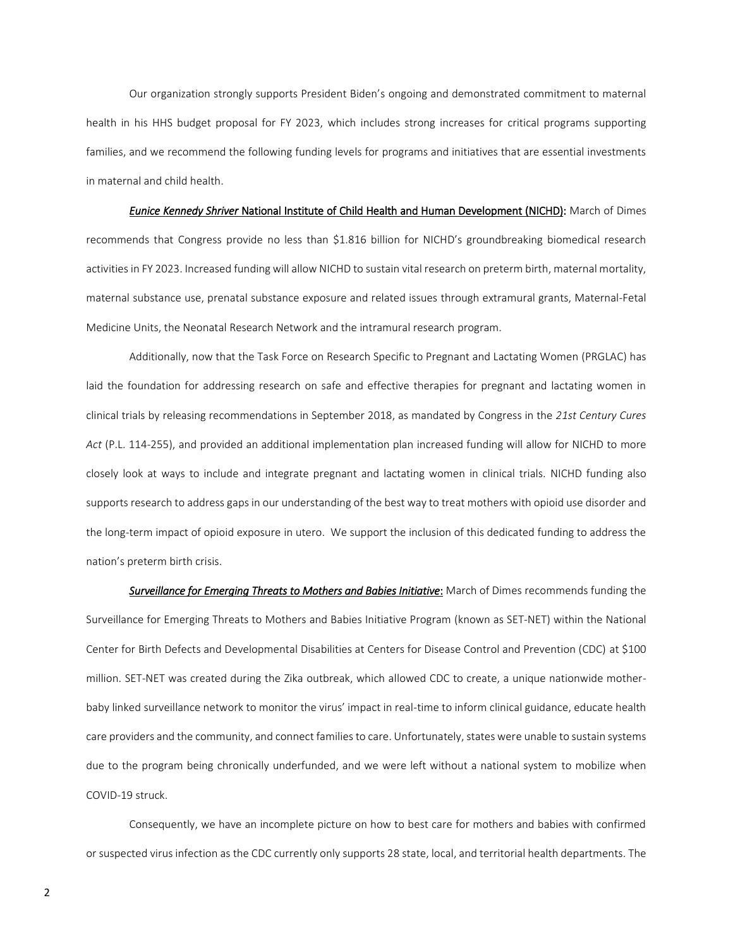Our organization strongly supports President Biden's ongoing and demonstrated commitment to maternal health in his HHS budget proposal for FY 2023, which includes strong increases for critical programs supporting families, and we recommend the following funding levels for programs and initiatives that are essential investments in maternal and child health.

*Eunice Kennedy Shriver* National Institute of Child Health and Human Development (NICHD): March of Dimes recommends that Congress provide no less than \$1.816 billion for NICHD's groundbreaking biomedical research activities in FY 2023. Increased funding will allow NICHD to sustain vital research on preterm birth, maternal mortality, maternal substance use, prenatal substance exposure and related issues through extramural grants, Maternal-Fetal Medicine Units, the Neonatal Research Network and the intramural research program.

Additionally, now that the Task Force on Research Specific to Pregnant and Lactating Women (PRGLAC) has laid the foundation for addressing research on safe and effective therapies for pregnant and lactating women in clinical trials by releasing recommendations in September 2018, as mandated by Congress in the *21st Century Cures Act* (P.L. 114-255), and provided an additional implementation plan increased funding will allow for NICHD to more closely look at ways to include and integrate pregnant and lactating women in clinical trials. NICHD funding also supports research to address gaps in our understanding of the best way to treat mothers with opioid use disorder and the long-term impact of opioid exposure in utero. We support the inclusion of this dedicated funding to address the nation's preterm birth crisis.

*Surveillance for Emerging Threats to Mothers and Babies Initiative*: March of Dimes recommends funding the Surveillance for Emerging Threats to Mothers and Babies Initiative Program (known as SET-NET) within the National Center for Birth Defects and Developmental Disabilities at Centers for Disease Control and Prevention (CDC) at \$100 million. SET-NET was created during the Zika outbreak, which allowed CDC to create, a unique nationwide motherbaby linked surveillance network to monitor the virus' impact in real-time to inform clinical guidance, educate health care providers and the community, and connect families to care. Unfortunately, states were unable to sustain systems due to the program being chronically underfunded, and we were left without a national system to mobilize when COVID-19 struck.

Consequently, we have an incomplete picture on how to best care for mothers and babies with confirmed or suspected virus infection as the CDC currently only supports 28 state, local, and territorial health departments. The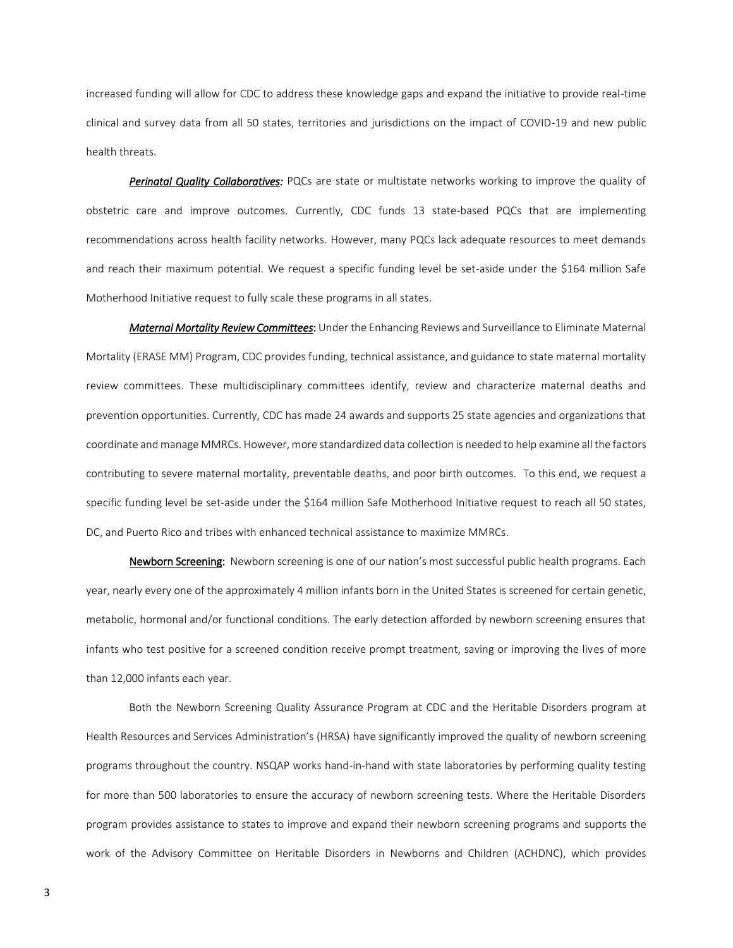increased funding will allow for CDC to address these knowledge gaps and expand the initiative to provide real-time clinical and survey data from all 50 states, territories and jurisdictions on the impact of COVID-19 and new public health threats.

*Perinatal Quality Collaboratives:* PQCs are state or multistate networks working to improve the quality of obstetric care and improve outcomes. Currently, CDC funds 13 state-based PQCs that are implementing recommendations across health facility networks. However, many PQCs lack adequate resources to meet demands and reach their maximum potential. We request a specific funding level be set-aside under the \$164 million Safe Motherhood Initiative request to fully scale these programs in all states.

*Maternal Mortality Review Committees*: Under the Enhancing Reviews and Surveillance to Eliminate Maternal Mortality (ERASE MM) Program, CDC provides funding, technical assistance, and guidance to state maternal mortality review committees. These multidisciplinary committees identify, review and characterize maternal deaths and prevention opportunities. Currently, CDC has made 24 awards and supports 25 state agencies and organizations that coordinate and manage MMRCs. However, more standardized data collection is needed to help examine all the factors contributing to severe maternal mortality, preventable deaths, and poor birth outcomes. To this end, we request a specific funding level be set-aside under the \$164 million Safe Motherhood Initiative request to reach all 50 states, DC, and Puerto Rico and tribes with enhanced technical assistance to maximize MMRCs.

Newborn Screening: Newborn screening is one of our nation's most successful public health programs. Each year, nearly every one of the approximately 4 million infants born in the United States is screened for certain genetic, metabolic, hormonal and/or functional conditions. The early detection afforded by newborn screening ensures that infants who test positive for a screened condition receive prompt treatment, saving or improving the lives of more than 12,000 infants each year.

Both the Newborn Screening Quality Assurance Program at CDC and the Heritable Disorders program at Health Resources and Services Administration's (HRSA) have significantly improved the quality of newborn screening programs throughout the country. NSQAP works hand-in-hand with state laboratories by performing quality testing for more than 500 laboratories to ensure the accuracy of newborn screening tests. Where the Heritable Disorders program provides assistance to states to improve and expand their newborn screening programs and supports the work of the Advisory Committee on Heritable Disorders in Newborns and Children (ACHDNC), which provides

3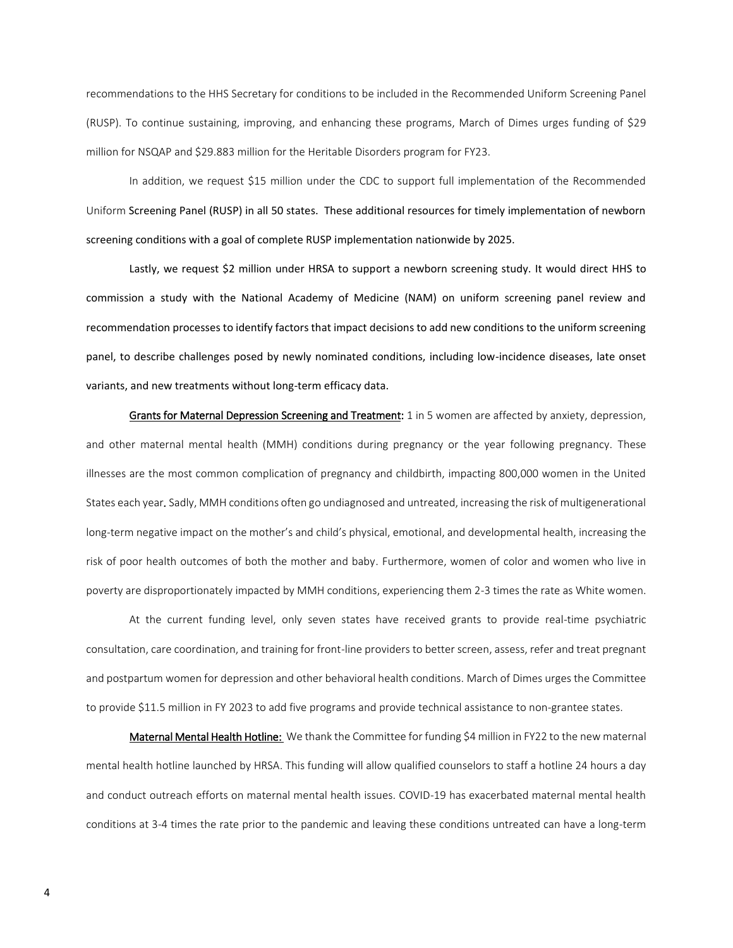recommendations to the HHS Secretary for conditions to be included in the Recommended Uniform Screening Panel (RUSP). To continue sustaining, improving, and enhancing these programs, March of Dimes urges funding of \$29 million for NSQAP and \$29.883 million for the Heritable Disorders program for FY23.

In addition, we request \$15 million under the CDC to support full implementation of the Recommended Uniform Screening Panel (RUSP) in all 50 states. These additional resources for timely implementation of newborn screening conditions with a goal of complete RUSP implementation nationwide by 2025.

Lastly, we request \$2 million under HRSA to support a newborn screening study. It would direct HHS to commission a study with the National Academy of Medicine (NAM) on uniform screening panel review and recommendation processes to identify factors that impact decisions to add new conditions to the uniform screening panel, to describe challenges posed by newly nominated conditions, including low-incidence diseases, late onset variants, and new treatments without long-term efficacy data.

Grants for Maternal Depression Screening and Treatment: 1 in 5 women are affected by anxiety, depression, and other maternal mental health (MMH) conditions during pregnancy or the year following pregnancy. These illnesses are the most common complication of pregnancy and childbirth, impacting 800,000 women in the United States each year*.* Sadly, MMH conditions often go undiagnosed and untreated, increasing the risk of multigenerational long-term negative impact on the mother's and child's physical, emotional, and developmental health, increasing the risk of poor health outcomes of both the mother and baby. Furthermore, women of color and women who live in poverty are disproportionately impacted by MMH conditions, experiencing them 2-3 times the rate as White women.

At the current funding level, only seven states have received grants to provide real-time psychiatric consultation, care coordination, and training for front-line providers to better screen, assess, refer and treat pregnant and postpartum women for depression and other behavioral health conditions. March of Dimes urges the Committee to provide \$11.5 million in FY 2023 to add five programs and provide technical assistance to non-grantee states.

Maternal Mental Health Hotline: We thank the Committee for funding \$4 million in FY22 to the new maternal mental health hotline launched by HRSA. This funding will allow qualified counselors to staff a hotline 24 hours a day and conduct outreach efforts on maternal mental health issues. COVID-19 has exacerbated maternal mental health conditions at 3-4 times the rate prior to the pandemic and leaving these conditions untreated can have a long-term